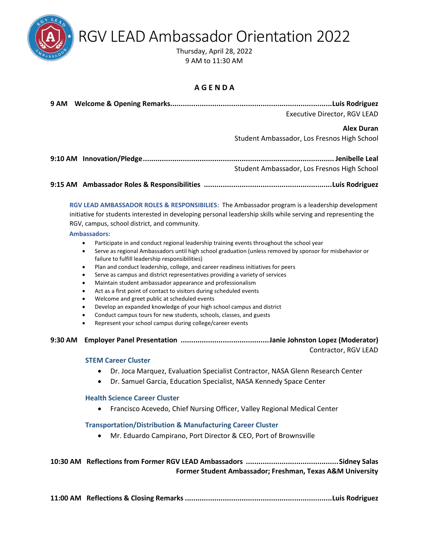RGV LEAD Ambassador Orientation 2022

Thursday, April 28, 2022 [9 AM to 11:30 AM](https://us06web.zoom.us/j/89308124852?pwd=V2JNTnBNRmVBbm4rWXlmK0htYUtMQT09) 

#### **A G E N D A**

|         | Executive Director, RGV LEAD                                                                                                                                                                                                                                                                                                                                                                                                                                                                                                                                                                                                                                                                                                                                                                                                                                                     |
|---------|----------------------------------------------------------------------------------------------------------------------------------------------------------------------------------------------------------------------------------------------------------------------------------------------------------------------------------------------------------------------------------------------------------------------------------------------------------------------------------------------------------------------------------------------------------------------------------------------------------------------------------------------------------------------------------------------------------------------------------------------------------------------------------------------------------------------------------------------------------------------------------|
|         | <b>Alex Duran</b><br>Student Ambassador, Los Fresnos High School                                                                                                                                                                                                                                                                                                                                                                                                                                                                                                                                                                                                                                                                                                                                                                                                                 |
|         | Student Ambassador, Los Fresnos High School                                                                                                                                                                                                                                                                                                                                                                                                                                                                                                                                                                                                                                                                                                                                                                                                                                      |
|         |                                                                                                                                                                                                                                                                                                                                                                                                                                                                                                                                                                                                                                                                                                                                                                                                                                                                                  |
|         | RGV LEAD AMBASSADOR ROLES & RESPONSIBILIES: The Ambassador program is a leadership development<br>initiative for students interested in developing personal leadership skills while serving and representing the<br>RGV, campus, school district, and community.<br><b>Ambassadors:</b>                                                                                                                                                                                                                                                                                                                                                                                                                                                                                                                                                                                          |
|         | Participate in and conduct regional leadership training events throughout the school year<br>٠<br>Serve as regional Ambassadors until high school graduation (unless removed by sponsor for misbehavior or<br>٠<br>failure to fulfill leadership responsibilities)<br>Plan and conduct leadership, college, and career readiness initiatives for peers<br>٠<br>Serve as campus and district representatives providing a variety of services<br>٠<br>Maintain student ambassador appearance and professionalism<br>٠<br>Act as a first point of contact to visitors during scheduled events<br>٠<br>Welcome and greet public at scheduled events<br>٠<br>Develop an expanded knowledge of your high school campus and district<br>٠<br>Conduct campus tours for new students, schools, classes, and guests<br>٠<br>Represent your school campus during college/career events<br>٠ |
| 9:30 AM | Contractor, RGV LEAD                                                                                                                                                                                                                                                                                                                                                                                                                                                                                                                                                                                                                                                                                                                                                                                                                                                             |
|         | <b>STEM Career Cluster</b>                                                                                                                                                                                                                                                                                                                                                                                                                                                                                                                                                                                                                                                                                                                                                                                                                                                       |
|         | Dr. Joca Marquez, Evaluation Specialist Contractor, NASA Glenn Research Center<br>Dr. Samuel Garcia, Education Specialist, NASA Kennedy Space Center                                                                                                                                                                                                                                                                                                                                                                                                                                                                                                                                                                                                                                                                                                                             |
|         | <b>Health Science Career Cluster</b><br>Francisco Acevedo, Chief Nursing Officer, Valley Regional Medical Center<br>$\bullet$                                                                                                                                                                                                                                                                                                                                                                                                                                                                                                                                                                                                                                                                                                                                                    |
|         | <b>Transportation/Distribution &amp; Manufacturing Career Cluster</b><br>Mr. Eduardo Campirano, Port Director & CEO, Port of Brownsville                                                                                                                                                                                                                                                                                                                                                                                                                                                                                                                                                                                                                                                                                                                                         |
|         | Former Student Ambassador; Freshman, Texas A&M University                                                                                                                                                                                                                                                                                                                                                                                                                                                                                                                                                                                                                                                                                                                                                                                                                        |

**11:00 AM Reflections & Closing Remarks......................................................................Luis Rodriguez**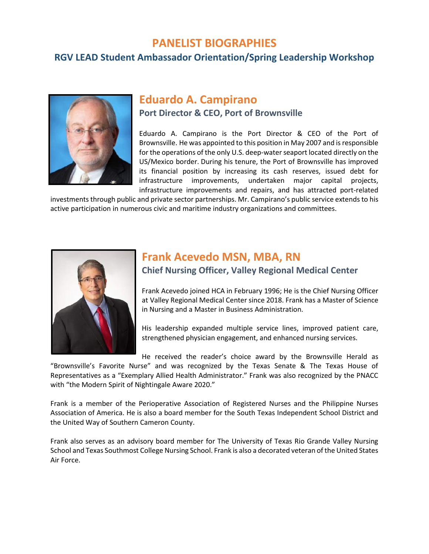### **PANELIST BIOGRAPHIES**

### **RGV LEAD Student Ambassador Orientation/Spring Leadership Workshop**



### **Eduardo A. Campirano Port Director & CEO, Port of Brownsville**

Eduardo A. Campirano is the Port Director & CEO of the Port of Brownsville. He was appointed to this position in May 2007 and is responsible for the operations of the only U.S. deep-water seaport located directly on the US/Mexico border. During his tenure, the Port of Brownsville has improved its financial position by increasing its cash reserves, issued debt for infrastructure improvements, undertaken major capital projects, infrastructure improvements and repairs, and has attracted port-related

investments through public and private sector partnerships. Mr. Campirano's public service extends to his active participation in numerous civic and maritime industry organizations and committees.



## **Frank Acevedo MSN, MBA, RN**

#### **Chief Nursing Officer, Valley Regional Medical Center**

Frank Acevedo joined HCA in February 1996; He is the Chief Nursing Officer at Valley Regional Medical Center since 2018. Frank has a Master of Science in Nursing and a Master in Business Administration.

His leadership expanded multiple service lines, improved patient care, strengthened physician engagement, and enhanced nursing services.

He received the reader's choice award by the Brownsville Herald as

"Brownsville's Favorite Nurse" and was recognized by the Texas Senate & The Texas House of Representatives as a "Exemplary Allied Health Administrator." Frank was also recognized by the PNACC with "the Modern Spirit of Nightingale Aware 2020."

Frank is a member of the Perioperative Association of Registered Nurses and the Philippine Nurses Association of America. He is also a board member for the South Texas Independent School District and the United Way of Southern Cameron County.

Frank also serves as an advisory board member for The University of Texas Rio Grande Valley Nursing School and Texas Southmost College Nursing School. Frank is also a decorated veteran of the United States Air Force.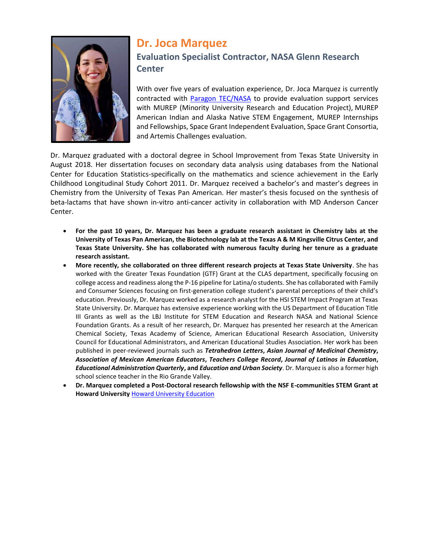

# **Dr. Joca Marquez Evaluation Specialist Contractor, NASA Glenn Research Center**

With over five years of evaluation experience, Dr. Joca Marquez is currently contracted with **Paragon TEC/NASA** to provide evaluation support services with MUREP (Minority University Research and Education Project), MUREP American Indian and Alaska Native STEM Engagement, MUREP Internships and Fellowships, Space Grant Independent Evaluation, Space Grant Consortia, and Artemis Challenges evaluation.

Dr. Marquez graduated with a doctoral degree in School Improvement from Texas State University in August 2018. Her dissertation focuses on secondary data analysis using databases from the National Center for Education Statistics-specifically on the mathematics and science achievement in the Early Childhood Longitudinal Study Cohort 2011. Dr. Marquez received a bachelor's and master's degrees in Chemistry from the University of Texas Pan American. Her master's thesis focused on the synthesis of beta-lactams that have shown in-vitro anti-cancer activity in collaboration with MD Anderson Cancer Center.

- **For the past 10 years, Dr. Marquez has been a graduate research assistant in Chemistry labs at the University of Texas Pan American, the Biotechnology lab at the Texas A & M Kingsville Citrus Center, and Texas State University. She has collaborated with numerous faculty during her tenure as a graduate research assistant.**
- **More recently, she collaborated on three different research projects at Texas State University**. She has worked with the Greater Texas Foundation (GTF) Grant at the CLAS department, specifically focusing on college access and readiness along the P-16 pipeline for Latina/o students. She has collaborated with Family and Consumer Sciences focusing on first-generation college student's parental perceptions of their child's education. Previously, Dr. Marquez worked as a research analyst for the HSI STEM Impact Program at Texas State University. Dr. Marquez has extensive experience working with the US Department of Education Title III Grants as well as the LBJ Institute for STEM Education and Research NASA and National Science Foundation Grants. As a result of her research, Dr. Marquez has presented her research at the American Chemical Society, Texas Academy of Science, American Educational Research Association, University Council for Educational Administrators, and American Educational Studies Association. Her work has been published in peer-reviewed journals such as *Tetrahedron Letters***,** *Asian Journal of Medicinal Chemistry***,**  *Association of Mexican American Educators***,** *Teachers College Record***,** *Journal of Latinos in Education***,**  *Educational Administration Quarterly***, and** *Education and Urban Society*. Dr. Marquez is also a former high school science teacher in the Rio Grande Valley.
- **Dr. Marquez completed a Post-Doctoral research fellowship with the NSF E-communities STEM Grant at Howard University** [Howard University Education](https://education.howard.edu/academics/department-curriculum-instruction/faculty-profiles)